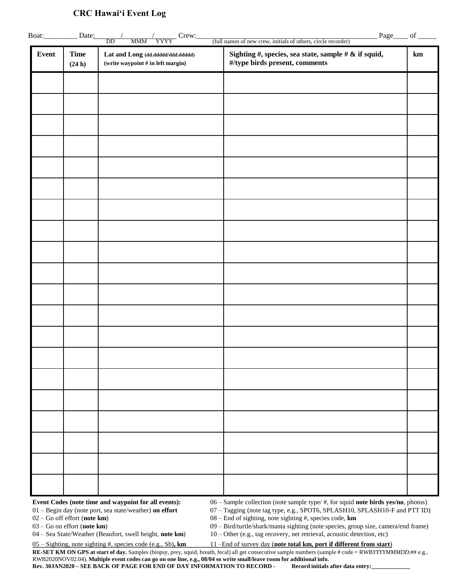## **CRC Hawai'i Event Log**

| <b>Event</b> | <b>Time</b> | Lat and Long (dd.ddddd/ddd.ddddd)   | Sighting #, species, sea state, sample # & if squid, | km |
|--------------|-------------|-------------------------------------|------------------------------------------------------|----|
|              | (24 h)      | (write waypoint $#$ in left margin) | #/type birds present, comments                       |    |
|              |             |                                     |                                                      |    |
|              |             |                                     |                                                      |    |
|              |             |                                     |                                                      |    |
|              |             |                                     |                                                      |    |
|              |             |                                     |                                                      |    |
|              |             |                                     |                                                      |    |
|              |             |                                     |                                                      |    |
|              |             |                                     |                                                      |    |
|              |             |                                     |                                                      |    |
|              |             |                                     |                                                      |    |
|              |             |                                     |                                                      |    |
|              |             |                                     |                                                      |    |
|              |             |                                     |                                                      |    |
|              |             |                                     |                                                      |    |
|              |             |                                     |                                                      |    |
|              |             |                                     |                                                      |    |
|              |             |                                     |                                                      |    |
|              |             |                                     |                                                      |    |
|              |             |                                     |                                                      |    |
|              |             |                                     |                                                      |    |
|              |             |                                     |                                                      |    |
|              |             |                                     |                                                      |    |
|              |             |                                     |                                                      |    |
|              |             |                                     |                                                      |    |
|              |             |                                     |                                                      |    |

02 – Go off effort (**note km**) 08 – End of sighting, note sighting #, species code, **km**<br>03 – Go on effort (**note km**) 09 – Bird/turtle/shark/manta sighting (note species, gro 09 – Bird/turtle/shark/manta sighting (note species, group size, camera/end frame)

04 – Sea State/Weather (Beaufort, swell height, **note km**) 10 – Other (e.g., tag recovery, net retrieval, acoustic detection, etc)

05 – Sighting, note sighting #, species code (e.g., Sb)**, km** 11 –End of survey day (**note total km, port if different from start**)

RE-SET KM ON GPS at start of day. Samples (biopsy, prey, squid, breath, fecal) all get consecutive sample numbers (sample # code = RWB*YYYYMMMDD*.## e.g., RWB2020NOV02.04). **Multiple event codes can go on one line, e.g., 08/04 so write small/leave room for additional info.** 

**Rev. 30JAN2020 – SEE BACK OF PAGE FOR END OF DAY INFORMATION TO RECORD - Record initials after data entry:\_\_\_\_\_\_\_\_\_\_\_\_\_**